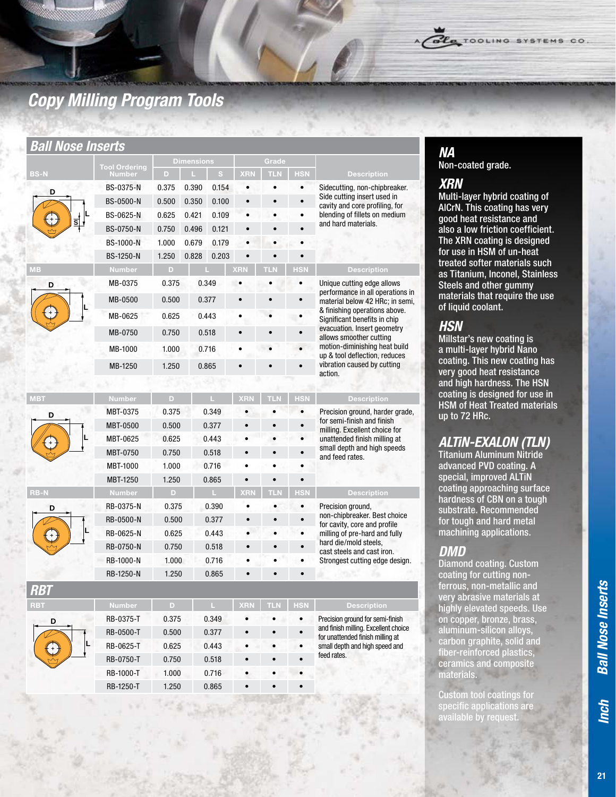# *Copy Milling Program Tools*

#### *Ball Nose Inserts*

|             | <b>Tool Ordering</b> | <b>Dimensions</b> |       |       | Grade      |            |            |                                                                     |  |
|-------------|----------------------|-------------------|-------|-------|------------|------------|------------|---------------------------------------------------------------------|--|
| <b>BS-N</b> | <b>Number</b>        | D                 |       | s     | <b>XRN</b> | <b>TLN</b> | <b>HSN</b> | <b>Description</b>                                                  |  |
| D<br>ड      | BS-0375-N            | 0.375             | 0.390 | 0.154 |            |            | $\bullet$  | Sidecutting, non-chipbreaker.                                       |  |
|             | <b>BS-0500-N</b>     | 0.500             | 0.350 | 0.100 |            |            | $\bullet$  | Side cutting insert used in<br>cavity and core profiling, for       |  |
|             | BS-0625-N            | 0.625             | 0.421 | 0.109 |            |            |            | blending of fillets on medium                                       |  |
|             | <b>BS-0750-N</b>     | 0.750             | 0.496 | 0.121 |            |            |            | and hard materials.                                                 |  |
|             | <b>BS-1000-N</b>     | 1.000             | 0.679 | 0.179 |            |            |            |                                                                     |  |
|             | <b>BS-1250-N</b>     | 1.250             | 0.828 | 0.203 |            |            |            |                                                                     |  |
| <b>MB</b>   | <b>Number</b>        | D                 |       |       | <b>XRN</b> | ТL         | <b>HSN</b> | <b>Description</b>                                                  |  |
| D           | MB-0375              | 0.375             |       | 0.349 |            |            |            | Unique cutting edge allows                                          |  |
|             | MB-0500              | 0.500             |       | 0.377 |            |            |            | performance in all operations in<br>material below 42 HRc; in semi, |  |
|             | MB-0625              | 0.625             |       | 0.443 |            |            |            | & finishing operations above.<br>Significant benefits in chip       |  |
|             | MB-0750              | 0.750             |       | 0.518 |            |            |            | evacuation. Insert geometry                                         |  |
|             | MB-1000              | 1.000             | 0.716 |       |            |            |            | allows smoother cutting<br>motion-diminishing heat build            |  |
|             | MB-1250              | 1.250             |       | 0.865 |            |            |            | up & tool deflection, reduces<br>vibration caused by cutting        |  |
|             |                      |                   |       |       |            |            |            | action.                                                             |  |
| <b>MBT</b>  | <b>Number</b>        | D                 |       |       | <b>XRM</b> | TI N       | <b>HSN</b> | <b>Description</b>                                                  |  |
| D           | MBT-0375             | 0.375             |       | 0.349 |            |            | $\bullet$  | Precision ground, harder grade,                                     |  |
|             | <b>MBT-0500</b>      | 0.500             |       | 0.377 |            |            | $\bullet$  | for semi-finish and finish                                          |  |
|             | MBT-0625             | 0.625             |       | 0.443 |            |            |            | milling. Excellent choice for<br>unattended finish milling at       |  |
|             | MBT-0750             | 0.750             |       | 0.518 |            |            | $\bullet$  | small depth and high speeds<br>and feed rates.                      |  |
|             | <b>MBT-1000</b>      | 1.000             | 0.716 |       |            |            |            |                                                                     |  |
|             | <b>MBT-1250</b>      | 1.250             |       | 0.865 |            |            |            |                                                                     |  |
| <b>RB-N</b> | <b>Number</b>        | D.                |       | L.    | <b>XRN</b> | <b>TLN</b> | <b>HSN</b> | <b>Description</b>                                                  |  |
| D           | RB-0375-N            | 0.375             |       | 0.390 | $\bullet$  |            | $\bullet$  | Precision ground,                                                   |  |
|             | RB-0500-N            | 0.500             |       | 0.377 | $\bullet$  |            | $\bullet$  | non-chipbreaker. Best choice<br>for cavity, core and profile        |  |
|             | RB-0625-N            | 0.625             |       | 0.443 |            |            |            | milling of pre-hard and fully                                       |  |
|             | RB-0750-N            | 0.750             |       | 0.518 |            |            | $\bullet$  | hard die/mold steels.<br>cast steels and cast iron.                 |  |
|             | RB-1000-N            | 1.000             |       | 0.716 |            |            |            | Strongest cutting edge design.                                      |  |
|             | RB-1250-N            | 1.250             |       | 0.865 |            |            |            |                                                                     |  |

| D |  |
|---|--|



Page 21

| ,,,,,,     |               |       |       |            |            |            |                                                                          |
|------------|---------------|-------|-------|------------|------------|------------|--------------------------------------------------------------------------|
| <b>RBT</b> | <b>Number</b> | D     |       | <b>XRN</b> | <b>TLN</b> | <b>HSN</b> | <b>Description</b>                                                       |
| D          | RB-0375-T     | 0.375 | 0.349 | $\bullet$  | $\bullet$  | $\bullet$  | Precision ground for semi-finish                                         |
|            | RB-0500-T     | 0.500 | 0.377 | $\bullet$  | $\bullet$  |            | and finish milling. Excellent choice<br>for unattended finish milling at |
| IL         | RB-0625-T     | 0.625 | 0.443 | $\bullet$  |            | ٠          | small depth and high speed and                                           |
|            | RB-0750-T     | 0.750 | 0.518 | $\bullet$  |            |            | feed rates.                                                              |
|            | RB-1000-T     | 1.000 | 0.716 | $\bullet$  |            |            |                                                                          |
|            | RB-1250-T     | 1.250 | 0.865 | $\bullet$  |            |            |                                                                          |
|            |               |       |       |            |            |            |                                                                          |

# *NA*

Non-coated grade.

### *XRN*

Multi-layer hybrid coating of AlCrN. This coating has very good heat resistance and also a low friction coefficient. The XRN coating is designed for use in HSM of un-heat treated softer materials such as Titanium, Inconel, Stainless Steels and other gummy materials that require the use of liquid coolant.

OLA TOOLING SYSTEMS CO.

### *HSN*

Millstar's new coating is a multi-layer hybrid Nano coating. This new coating has very good heat resistance and high hardness. The HSN coating is designed for use in HSM of Heat Treated materials up to 72 HRc.

### *ALTiN-EXALON (TLN)*

Titanium Aluminum Nitride advanced PVD coating. A special, improved ALTiN coating approaching surface hardness of CBN on a tough substrate. Recommended for tough and hard metal machining applications.

#### *DMD*

Diamond coating. Custom coating for cutting nonferrous, non-metallic and very abrasive materials at highly elevated speeds. Use on copper, bronze, brass, aluminum-silicon alloys, carbon graphite, solid and fiber-reinforced plastics, ceramics and composite materials.

Custom tool coatings for specific applications are able by requ

*Inch*